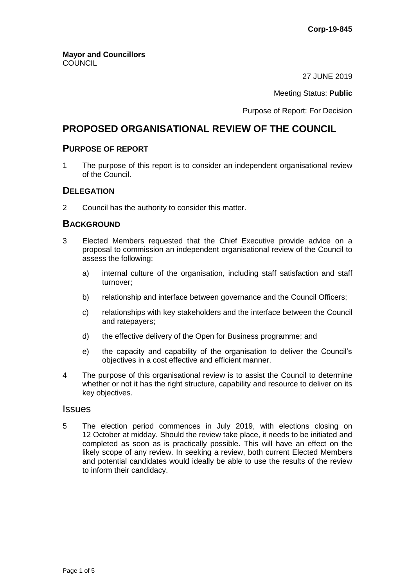27 JUNE 2019

Meeting Status: **Public**

Purpose of Report: For Decision

# **PROPOSED ORGANISATIONAL REVIEW OF THE COUNCIL**

# **PURPOSE OF REPORT**

1 The purpose of this report is to consider an independent organisational review of the Council.

# **DELEGATION**

2 Council has the authority to consider this matter.

# **BACKGROUND**

- 3 Elected Members requested that the Chief Executive provide advice on a proposal to commission an independent organisational review of the Council to assess the following:
	- a) internal culture of the organisation, including staff satisfaction and staff turnover;
	- b) relationship and interface between governance and the Council Officers;
	- c) relationships with key stakeholders and the interface between the Council and ratepayers;
	- d) the effective delivery of the Open for Business programme; and
	- e) the capacity and capability of the organisation to deliver the Council's objectives in a cost effective and efficient manner.
- 4 The purpose of this organisational review is to assist the Council to determine whether or not it has the right structure, capability and resource to deliver on its key objectives.

# **Issues**

5 The election period commences in July 2019, with elections closing on 12 October at midday. Should the review take place, it needs to be initiated and completed as soon as is practically possible. This will have an effect on the likely scope of any review. In seeking a review, both current Elected Members and potential candidates would ideally be able to use the results of the review to inform their candidacy.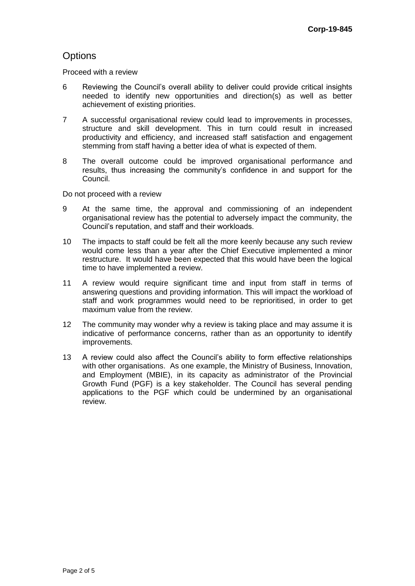# **Options**

Proceed with a review

- 6 Reviewing the Council's overall ability to deliver could provide critical insights needed to identify new opportunities and direction(s) as well as better achievement of existing priorities.
- 7 A successful organisational review could lead to improvements in processes, structure and skill development. This in turn could result in increased productivity and efficiency, and increased staff satisfaction and engagement stemming from staff having a better idea of what is expected of them.
- 8 The overall outcome could be improved organisational performance and results, thus increasing the community's confidence in and support for the Council.

Do not proceed with a review

- 9 At the same time, the approval and commissioning of an independent organisational review has the potential to adversely impact the community, the Council's reputation, and staff and their workloads.
- 10 The impacts to staff could be felt all the more keenly because any such review would come less than a year after the Chief Executive implemented a minor restructure. It would have been expected that this would have been the logical time to have implemented a review.
- 11 A review would require significant time and input from staff in terms of answering questions and providing information. This will impact the workload of staff and work programmes would need to be reprioritised, in order to get maximum value from the review.
- 12 The community may wonder why a review is taking place and may assume it is indicative of performance concerns, rather than as an opportunity to identify improvements.
- 13 A review could also affect the Council's ability to form effective relationships with other organisations. As one example, the Ministry of Business, Innovation, and Employment (MBIE), in its capacity as administrator of the Provincial Growth Fund (PGF) is a key stakeholder. The Council has several pending applications to the PGF which could be undermined by an organisational review.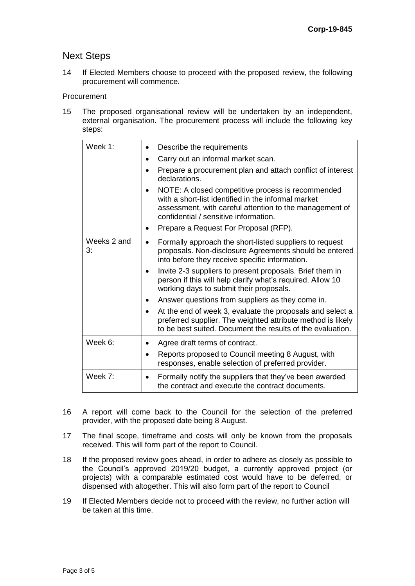# Next Steps

14 If Elected Members choose to proceed with the proposed review, the following procurement will commence.

#### Procurement

15 The proposed organisational review will be undertaken by an independent, external organisation. The procurement process will include the following key steps:

| Week 1:           | Describe the requirements                                                                                                                                                                                    |
|-------------------|--------------------------------------------------------------------------------------------------------------------------------------------------------------------------------------------------------------|
|                   | Carry out an informal market scan.                                                                                                                                                                           |
|                   | Prepare a procurement plan and attach conflict of interest<br>declarations.                                                                                                                                  |
|                   | NOTE: A closed competitive process is recommended<br>with a short-list identified in the informal market<br>assessment, with careful attention to the management of<br>confidential / sensitive information. |
|                   | Prepare a Request For Proposal (RFP).                                                                                                                                                                        |
| Weeks 2 and<br>3: | Formally approach the short-listed suppliers to request<br>proposals. Non-disclosure Agreements should be entered<br>into before they receive specific information.                                          |
|                   | Invite 2-3 suppliers to present proposals. Brief them in<br>person if this will help clarify what's required. Allow 10<br>working days to submit their proposals.                                            |
|                   | Answer questions from suppliers as they come in.                                                                                                                                                             |
|                   | At the end of week 3, evaluate the proposals and select a<br>preferred supplier. The weighted attribute method is likely<br>to be best suited. Document the results of the evaluation.                       |
| Week 6:           | Agree draft terms of contract.                                                                                                                                                                               |
|                   | Reports proposed to Council meeting 8 August, with<br>responses, enable selection of preferred provider.                                                                                                     |
| Week 7:           | Formally notify the suppliers that they've been awarded<br>the contract and execute the contract documents.                                                                                                  |

- 16 A report will come back to the Council for the selection of the preferred provider, with the proposed date being 8 August.
- 17 The final scope, timeframe and costs will only be known from the proposals received. This will form part of the report to Council.
- 18 If the proposed review goes ahead, in order to adhere as closely as possible to the Council's approved 2019/20 budget, a currently approved project (or projects) with a comparable estimated cost would have to be deferred, or dispensed with altogether. This will also form part of the report to Council
- 19 If Elected Members decide not to proceed with the review, no further action will be taken at this time.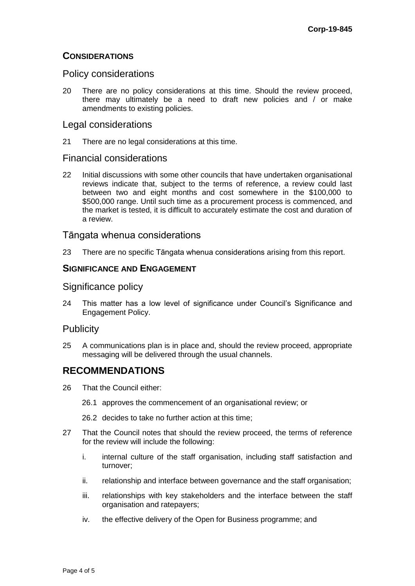# **CONSIDERATIONS**

# Policy considerations

20 There are no policy considerations at this time. Should the review proceed, there may ultimately be a need to draft new policies and / or make amendments to existing policies.

# Legal considerations

21 There are no legal considerations at this time.

# Financial considerations

22 Initial discussions with some other councils that have undertaken organisational reviews indicate that, subject to the terms of reference, a review could last between two and eight months and cost somewhere in the \$100,000 to \$500,000 range. Until such time as a procurement process is commenced, and the market is tested, it is difficult to accurately estimate the cost and duration of a review.

# Tāngata whenua considerations

23 There are no specific Tāngata whenua considerations arising from this report.

# **SIGNIFICANCE AND ENGAGEMENT**

# Significance policy

24 This matter has a low level of significance under Council's Significance and Engagement Policy.

# **Publicity**

25 A communications plan is in place and, should the review proceed, appropriate messaging will be delivered through the usual channels.

# **RECOMMENDATIONS**

- 26 That the Council either:
	- 26.1 approves the commencement of an organisational review; or
	- 26.2 decides to take no further action at this time;
- 27 That the Council notes that should the review proceed, the terms of reference for the review will include the following:
	- i. internal culture of the staff organisation, including staff satisfaction and turnover;
	- ii. relationship and interface between governance and the staff organisation;
	- iii. relationships with key stakeholders and the interface between the staff organisation and ratepayers;
	- iv. the effective delivery of the Open for Business programme; and